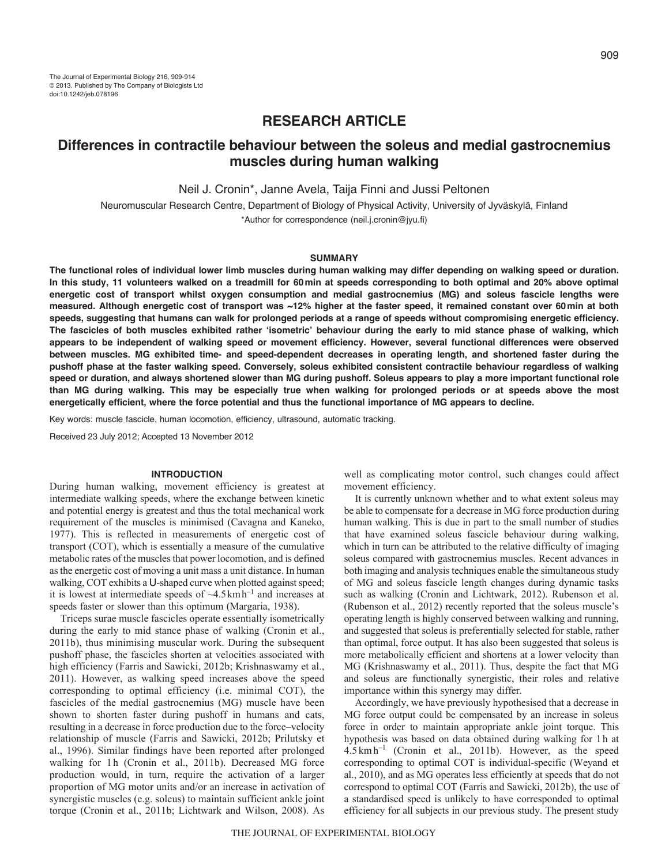# **RESEARCH ARTICLE**

# **Differences in contractile behaviour between the soleus and medial gastrocnemius muscles during human walking**

Neil J. Cronin\*, Janne Avela, Taija Finni and Jussi Peltonen

Neuromuscular Research Centre, Department of Biology of Physical Activity, University of Jyväskylä, Finland \*Author for correspondence (neil.j.cronin@jyu.fi)

# **SUMMARY**

**The functional roles of individual lower limb muscles during human walking may differ depending on walking speed or duration. In this study, 11 volunteers walked on a treadmill for 60min at speeds corresponding to both optimal and 20% above optimal energetic cost of transport whilst oxygen consumption and medial gastrocnemius (MG) and soleus fascicle lengths were measured. Although energetic cost of transport was ~12% higher at the faster speed, it remained constant over 60min at both speeds, suggesting that humans can walk for prolonged periods at a range of speeds without compromising energetic efficiency. The fascicles of both muscles exhibited rather ʻisometric' behaviour during the early to mid stance phase of walking, which appears to be independent of walking speed or movement efficiency. However, several functional differences were observed between muscles. MG exhibited time- and speed-dependent decreases in operating length, and shortened faster during the pushoff phase at the faster walking speed. Conversely, soleus exhibited consistent contractile behaviour regardless of walking speed or duration, and always shortened slower than MG during pushoff. Soleus appears to play a more important functional role than MG during walking. This may be especially true when walking for prolonged periods or at speeds above the most energetically efficient, where the force potential and thus the functional importance of MG appears to decline.**

Key words: muscle fascicle, human locomotion, efficiency, ultrasound, automatic tracking.

Received 23 July 2012; Accepted 13 November 2012

# **INTRODUCTION**

During human walking, movement efficiency is greatest at intermediate walking speeds, where the exchange between kinetic and potential energy is greatest and thus the total mechanical work requirement of the muscles is minimised (Cavagna and Kaneko, 1977). This is reflected in measurements of energetic cost of transport (COT), which is essentially a measure of the cumulative metabolic rates of the muscles that power locomotion, and is defined as the energetic cost of moving a unit mass a unit distance. In human walking, COT exhibits a U-shaped curve when plotted against speed; it is lowest at intermediate speeds of  $\sim4.5\,\mathrm{km}\,\mathrm{h}^{-1}$  and increases at speeds faster or slower than this optimum (Margaria, 1938).

Triceps surae muscle fascicles operate essentially isometrically during the early to mid stance phase of walking (Cronin et al., 2011b), thus minimising muscular work. During the subsequent pushoff phase, the fascicles shorten at velocities associated with high efficiency (Farris and Sawicki, 2012b; Krishnaswamy et al., 2011). However, as walking speed increases above the speed corresponding to optimal efficiency (i.e. minimal COT), the fascicles of the medial gastrocnemius (MG) muscle have been shown to shorten faster during pushoff in humans and cats, resulting in a decrease in force production due to the force–velocity relationship of muscle (Farris and Sawicki, 2012b; Prilutsky et al., 1996). Similar findings have been reported after prolonged walking for 1h (Cronin et al., 2011b). Decreased MG force production would, in turn, require the activation of a larger proportion of MG motor units and/or an increase in activation of synergistic muscles (e.g. soleus) to maintain sufficient ankle joint torque (Cronin et al., 2011b; Lichtwark and Wilson, 2008). As

well as complicating motor control, such changes could affect movement efficiency.

It is currently unknown whether and to what extent soleus may be able to compensate for a decrease in MG force production during human walking. This is due in part to the small number of studies that have examined soleus fascicle behaviour during walking, which in turn can be attributed to the relative difficulty of imaging soleus compared with gastrocnemius muscles. Recent advances in both imaging and analysis techniques enable the simultaneous study of MG and soleus fascicle length changes during dynamic tasks such as walking (Cronin and Lichtwark, 2012). Rubenson et al. (Rubenson et al., 2012) recently reported that the soleus muscle's operating length is highly conserved between walking and running, and suggested that soleus is preferentially selected for stable, rather than optimal, force output. It has also been suggested that soleus is more metabolically efficient and shortens at a lower velocity than MG (Krishnaswamy et al., 2011). Thus, despite the fact that MG and soleus are functionally synergistic, their roles and relative importance within this synergy may differ.

Accordingly, we have previously hypothesised that a decrease in MG force output could be compensated by an increase in soleus force in order to maintain appropriate ankle joint torque. This hypothesis was based on data obtained during walking for 1h at 4.5 kmh–1 (Cronin et al., 2011b). However, as the speed corresponding to optimal COT is individual-specific (Weyand et al., 2010), and as MG operates less efficiently at speeds that do not correspond to optimal COT (Farris and Sawicki, 2012b), the use of a standardised speed is unlikely to have corresponded to optimal efficiency for all subjects in our previous study. The present study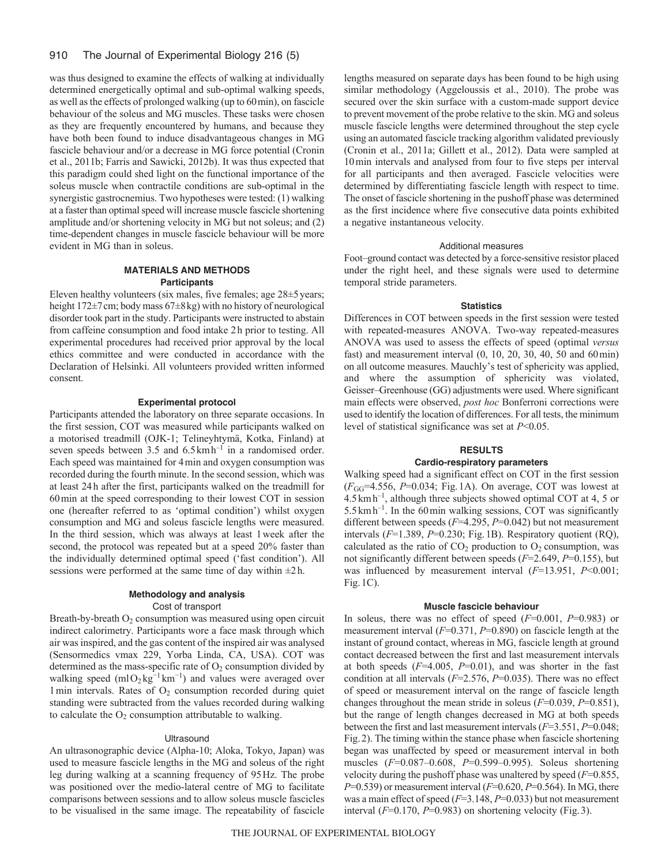#### 910 The Journal of Experimental Biology 216 (5)

was thus designed to examine the effects of walking at individually determined energetically optimal and sub-optimal walking speeds, as well as the effects of prolonged walking (up to 60min), on fascicle behaviour of the soleus and MG muscles. These tasks were chosen as they are frequently encountered by humans, and because they have both been found to induce disadvantageous changes in MG fascicle behaviour and/or a decrease in MG force potential (Cronin et al., 2011b; Farris and Sawicki, 2012b). It was thus expected that this paradigm could shed light on the functional importance of the soleus muscle when contractile conditions are sub-optimal in the synergistic gastrocnemius. Two hypotheses were tested: (1) walking at a faster than optimal speed will increase muscle fascicle shortening amplitude and/or shortening velocity in MG but not soleus; and (2) time-dependent changes in muscle fascicle behaviour will be more evident in MG than in soleus.

# **MATERIALS AND METHODS Participants**

Eleven healthy volunteers (six males, five females; age  $28\pm5$  years; height 172±7cm; body mass 67±8kg) with no history of neurological disorder took part in the study. Participants were instructed to abstain from caffeine consumption and food intake 2h prior to testing. All experimental procedures had received prior approval by the local ethics committee and were conducted in accordance with the Declaration of Helsinki. All volunteers provided written informed consent.

## **Experimental protocol**

Participants attended the laboratory on three separate occasions. In the first session, COT was measured while participants walked on a motorised treadmill (OJK-1; Telineyhtymä, Kotka, Finland) at seven speeds between  $3.5$  and  $6.5 \text{ km h}^{-1}$  in a randomised order. Each speed was maintained for 4min and oxygen consumption was recorded during the fourth minute. In the second session, which was at least 24h after the first, participants walked on the treadmill for 60min at the speed corresponding to their lowest COT in session one (hereafter referred to as 'optimal condition') whilst oxygen consumption and MG and soleus fascicle lengths were measured. In the third session, which was always at least 1week after the second, the protocol was repeated but at a speed 20% faster than the individually determined optimal speed ('fast condition'). All sessions were performed at the same time of day within  $\pm 2h$ .

# **Methodology and analysis** Cost of transport

Breath-by-breath  $O_2$  consumption was measured using open circuit indirect calorimetry. Participants wore a face mask through which air was inspired, and the gas content of the inspired air was analysed (Sensormedics vmax 229, Yorba Linda, CA, USA). COT was determined as the mass-specific rate of  $O<sub>2</sub>$  consumption divided by walking speed (mlO<sub>2</sub> kg<sup>-1</sup> km<sup>-1</sup>) and values were averaged over  $1$ min intervals. Rates of  $O<sub>2</sub>$  consumption recorded during quiet standing were subtracted from the values recorded during walking to calculate the  $O_2$  consumption attributable to walking.

## **Ultrasound**

An ultrasonographic device (Alpha-10; Aloka, Tokyo, Japan) was used to measure fascicle lengths in the MG and soleus of the right leg during walking at a scanning frequency of 95Hz. The probe was positioned over the medio-lateral centre of MG to facilitate comparisons between sessions and to allow soleus muscle fascicles to be visualised in the same image. The repeatability of fascicle lengths measured on separate days has been found to be high using similar methodology (Aggeloussis et al., 2010). The probe was secured over the skin surface with a custom-made support device to prevent movement of the probe relative to the skin. MG and soleus muscle fascicle lengths were determined throughout the step cycle using an automated fascicle tracking algorithm validated previously (Cronin et al., 2011a; Gillett et al., 2012). Data were sampled at 10min intervals and analysed from four to five steps per interval for all participants and then averaged. Fascicle velocities were determined by differentiating fascicle length with respect to time. The onset of fascicle shortening in the pushoff phase was determined as the first incidence where five consecutive data points exhibited a negative instantaneous velocity.

#### Additional measures

Foot–ground contact was detected by a force-sensitive resistor placed under the right heel, and these signals were used to determine temporal stride parameters.

## **Statistics**

Differences in COT between speeds in the first session were tested with repeated-measures ANOVA. Two-way repeated-measures ANOVA was used to assess the effects of speed (optimal *versus* fast) and measurement interval (0, 10, 20, 30, 40, 50 and 60min) on all outcome measures. Mauchly's test of sphericity was applied, and where the assumption of sphericity was violated, Geisser–Greenhouse (GG) adjustments were used. Where significant main effects were observed, *post hoc* Bonferroni corrections were used to identify the location of differences. For all tests, the minimum level of statistical significance was set at *P*<0.05.

### **RESULTS**

# **Cardio-respiratory parameters**

Walking speed had a significant effect on COT in the first session (*F*GG=4.556, *P*=0.034; Fig.1A). On average, COT was lowest at 4.5kmh–1, although three subjects showed optimal COT at 4, 5 or  $5.5 \text{ km h}^{-1}$ . In the 60 min walking sessions, COT was significantly different between speeds (*F*=4.295, *P*=0.042) but not measurement intervals (*F*=1.389, *P*=0.230; Fig.1B). Respiratory quotient (RQ), calculated as the ratio of  $CO<sub>2</sub>$  production to  $O<sub>2</sub>$  consumption, was not significantly different between speeds (*F*=2.649, *P*=0.155), but was influenced by measurement interval (*F*=13.951, *P*<0.001; Fig.1C).

#### **Muscle fascicle behaviour**

In soleus, there was no effect of speed (*F*=0.001, *P*=0.983) or measurement interval (*F*=0.371, *P*=0.890) on fascicle length at the instant of ground contact, whereas in MG, fascicle length at ground contact decreased between the first and last measurement intervals at both speeds (*F*=4.005, *P*=0.01), and was shorter in the fast condition at all intervals (*F*=2.576, *P*=0.035). There was no effect of speed or measurement interval on the range of fascicle length changes throughout the mean stride in soleus (*F*=0.039, *P*=0.851), but the range of length changes decreased in MG at both speeds between the first and last measurement intervals (*F*=3.551, *P*=0.048; Fig.2). The timing within the stance phase when fascicle shortening began was unaffected by speed or measurement interval in both muscles (*F*=0.087–0.608, *P*=0.599–0.995). Soleus shortening velocity during the pushoff phase was unaltered by speed (*F*=0.855, *P*=0.539) or measurement interval (*F*=0.620, *P*=0.564). In MG, there was a main effect of speed (*F*=3.148, *P*=0.033) but not measurement interval (*F*=0.170, *P*=0.983) on shortening velocity (Fig.3).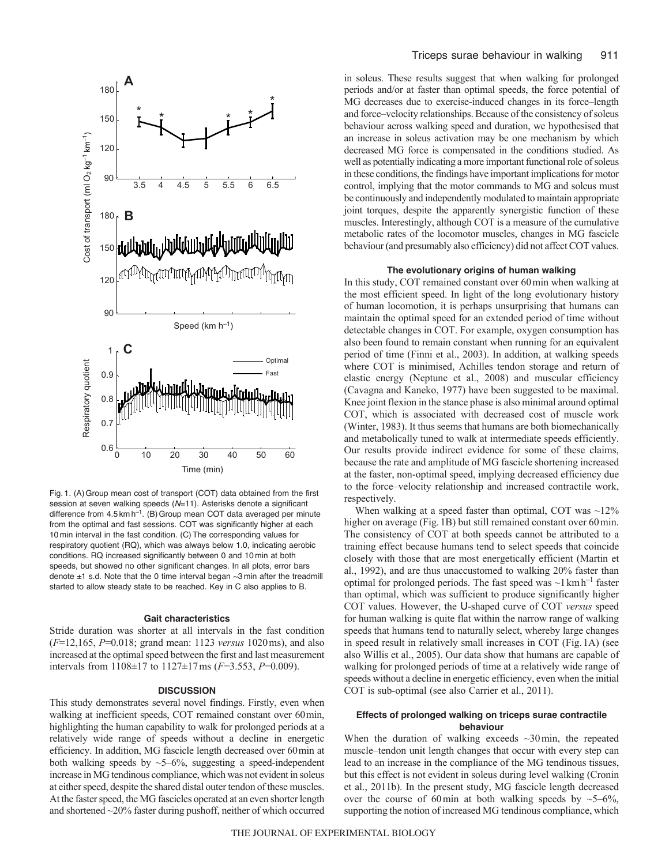

Fig. 1. (A)Group mean cost of transport (COT) data obtained from the first session at seven walking speeds (*N*=11). Asterisks denote a significant difference from  $4.5 \text{ km h}^{-1}$ . (B) Group mean COT data averaged per minute from the optimal and fast sessions. COT was significantly higher at each 10 min interval in the fast condition. (C)The corresponding values for respiratory quotient (RQ), which was always below 1.0, indicating aerobic conditions. RQ increased significantly between 0 and 10 min at both speeds, but showed no other significant changes. In all plots, error bars denote  $\pm 1$  s.d. Note that the 0 time interval began  $\sim 3$  min after the treadmill started to allow steady state to be reached. Key in C also applies to B.

#### **Gait characteristics**

Stride duration was shorter at all intervals in the fast condition (*F*=12,165, *P*=0.018; grand mean: 1123 *versus* 1020ms), and also increased at the optimal speed between the first and last measurement intervals from 1108±17 to 1127±17ms (*F*=3.553, *P*=0.009).

#### **DISCUSSION**

This study demonstrates several novel findings. Firstly, even when walking at inefficient speeds, COT remained constant over 60min, highlighting the human capability to walk for prolonged periods at a relatively wide range of speeds without a decline in energetic efficiency. In addition, MG fascicle length decreased over 60min at both walking speeds by  $\sim$  5–6%, suggesting a speed-independent increase in MG tendinous compliance, which was not evident in soleus at either speed, despite the shared distal outer tendon of these muscles. At the faster speed, the MG fascicles operated at an even shorter length and shortened ~20% faster during pushoff, neither of which occurred in soleus. These results suggest that when walking for prolonged periods and/or at faster than optimal speeds, the force potential of MG decreases due to exercise-induced changes in its force–length and force–velocity relationships. Because of the consistency of soleus behaviour across walking speed and duration, we hypothesised that an increase in soleus activation may be one mechanism by which decreased MG force is compensated in the conditions studied. As well as potentially indicating a more important functional role of soleus in these conditions, the findings have important implications for motor control, implying that the motor commands to MG and soleus must be continuously and independently modulated to maintain appropriate joint torques, despite the apparently synergistic function of these muscles. Interestingly, although COT is a measure of the cumulative metabolic rates of the locomotor muscles, changes in MG fascicle behaviour (and presumably also efficiency) did not affect COT values.

#### **The evolutionary origins of human walking**

In this study, COT remained constant over 60min when walking at the most efficient speed. In light of the long evolutionary history of human locomotion, it is perhaps unsurprising that humans can maintain the optimal speed for an extended period of time without detectable changes in COT. For example, oxygen consumption has also been found to remain constant when running for an equivalent period of time (Finni et al., 2003). In addition, at walking speeds where COT is minimised, Achilles tendon storage and return of elastic energy (Neptune et al., 2008) and muscular efficiency (Cavagna and Kaneko, 1977) have been suggested to be maximal. Knee joint flexion in the stance phase is also minimal around optimal COT, which is associated with decreased cost of muscle work (Winter, 1983). It thus seems that humans are both biomechanically and metabolically tuned to walk at intermediate speeds efficiently. Our results provide indirect evidence for some of these claims, because the rate and amplitude of MG fascicle shortening increased at the faster, non-optimal speed, implying decreased efficiency due to the force–velocity relationship and increased contractile work, respectively.

When walking at a speed faster than optimal, COT was  $\sim$ 12% higher on average (Fig.1B) but still remained constant over 60min. The consistency of COT at both speeds cannot be attributed to a training effect because humans tend to select speeds that coincide closely with those that are most energetically efficient (Martin et al., 1992), and are thus unaccustomed to walking 20% faster than optimal for prolonged periods. The fast speed was  $\sim$ 1 km h<sup>-1</sup> faster than optimal, which was sufficient to produce significantly higher COT values. However, the U-shaped curve of COT *versus* speed for human walking is quite flat within the narrow range of walking speeds that humans tend to naturally select, whereby large changes in speed result in relatively small increases in COT (Fig.1A) (see also Willis et al., 2005). Our data show that humans are capable of walking for prolonged periods of time at a relatively wide range of speeds without a decline in energetic efficiency, even when the initial COT is sub-optimal (see also Carrier et al., 2011).

# **Effects of prolonged walking on triceps surae contractile behaviour**

When the duration of walking exceeds  $\sim$ 30min, the repeated muscle–tendon unit length changes that occur with every step can lead to an increase in the compliance of the MG tendinous tissues, but this effect is not evident in soleus during level walking (Cronin et al., 2011b). In the present study, MG fascicle length decreased over the course of 60min at both walking speeds by  $\sim$  5–6%, supporting the notion of increased MG tendinous compliance, which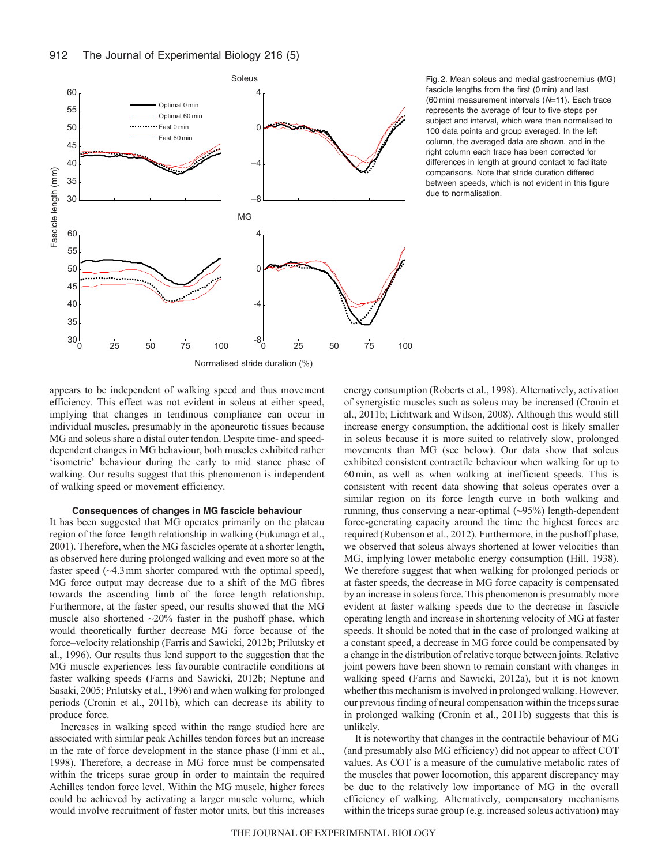

Fig. 2. Mean soleus and medial gastrocnemius (MG) fascicle lengths from the first (0 min) and last (60 min) measurement intervals (*N*=11). Each trace represents the average of four to five steps per subject and interval, which were then normalised to 100 data points and group averaged. In the left column, the averaged data are shown, and in the right column each trace has been corrected for differences in length at ground contact to facilitate comparisons. Note that stride duration differed between speeds, which is not evident in this figure due to normalisation.

appears to be independent of walking speed and thus movement efficiency. This effect was not evident in soleus at either speed, implying that changes in tendinous compliance can occur in individual muscles, presumably in the aponeurotic tissues because MG and soleus share a distal outer tendon. Despite time- and speeddependent changes in MG behaviour, both muscles exhibited rather 'isometric' behaviour during the early to mid stance phase of walking. Our results suggest that this phenomenon is independent of walking speed or movement efficiency.

# **Consequences of changes in MG fascicle behaviour**

It has been suggested that MG operates primarily on the plateau region of the force–length relationship in walking (Fukunaga et al., 2001). Therefore, when the MG fascicles operate at a shorter length, as observed here during prolonged walking and even more so at the faster speed ( $\sim$ 4.3 mm shorter compared with the optimal speed), MG force output may decrease due to a shift of the MG fibres towards the ascending limb of the force–length relationship. Furthermore, at the faster speed, our results showed that the MG muscle also shortened  $\sim$ 20% faster in the pushoff phase, which would theoretically further decrease MG force because of the force–velocity relationship (Farris and Sawicki, 2012b; Prilutsky et al., 1996). Our results thus lend support to the suggestion that the MG muscle experiences less favourable contractile conditions at faster walking speeds (Farris and Sawicki, 2012b; Neptune and Sasaki, 2005; Prilutsky et al., 1996) and when walking for prolonged periods (Cronin et al., 2011b), which can decrease its ability to produce force.

Increases in walking speed within the range studied here are associated with similar peak Achilles tendon forces but an increase in the rate of force development in the stance phase (Finni et al., 1998). Therefore, a decrease in MG force must be compensated within the triceps surae group in order to maintain the required Achilles tendon force level. Within the MG muscle, higher forces could be achieved by activating a larger muscle volume, which would involve recruitment of faster motor units, but this increases energy consumption (Roberts et al., 1998). Alternatively, activation of synergistic muscles such as soleus may be increased (Cronin et al., 2011b; Lichtwark and Wilson, 2008). Although this would still increase energy consumption, the additional cost is likely smaller in soleus because it is more suited to relatively slow, prolonged movements than MG (see below). Our data show that soleus exhibited consistent contractile behaviour when walking for up to 60min, as well as when walking at inefficient speeds. This is consistent with recent data showing that soleus operates over a similar region on its force–length curve in both walking and running, thus conserving a near-optimal (~95%) length-dependent force-generating capacity around the time the highest forces are required (Rubenson et al., 2012). Furthermore, in the pushoff phase, we observed that soleus always shortened at lower velocities than MG, implying lower metabolic energy consumption (Hill, 1938). We therefore suggest that when walking for prolonged periods or at faster speeds, the decrease in MG force capacity is compensated by an increase in soleus force. This phenomenon is presumably more evident at faster walking speeds due to the decrease in fascicle operating length and increase in shortening velocity of MG at faster speeds. It should be noted that in the case of prolonged walking at a constant speed, a decrease in MG force could be compensated by a change in the distribution of relative torque between joints. Relative joint powers have been shown to remain constant with changes in walking speed (Farris and Sawicki, 2012a), but it is not known whether this mechanism is involved in prolonged walking. However, our previous finding of neural compensation within the triceps surae in prolonged walking (Cronin et al., 2011b) suggests that this is unlikely.

It is noteworthy that changes in the contractile behaviour of MG (and presumably also MG efficiency) did not appear to affect COT values. As COT is a measure of the cumulative metabolic rates of the muscles that power locomotion, this apparent discrepancy may be due to the relatively low importance of MG in the overall efficiency of walking. Alternatively, compensatory mechanisms within the triceps surae group (e.g. increased soleus activation) may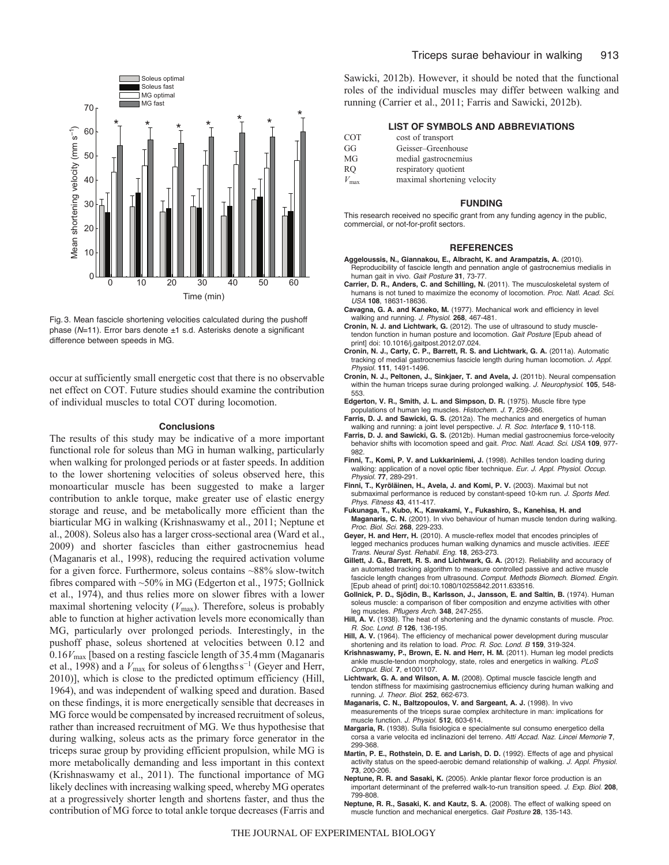

Fig. 3. Mean fascicle shortening velocities calculated during the pushoff phase (*N*=11). Error bars denote ±1 s.d. Asterisks denote a significant difference between speeds in MG.

occur at sufficiently small energetic cost that there is no observable net effect on COT. Future studies should examine the contribution of individual muscles to total COT during locomotion.

#### **Conclusions**

The results of this study may be indicative of a more important functional role for soleus than MG in human walking, particularly when walking for prolonged periods or at faster speeds. In addition to the lower shortening velocities of soleus observed here, this monoarticular muscle has been suggested to make a larger contribution to ankle torque, make greater use of elastic energy storage and reuse, and be metabolically more efficient than the biarticular MG in walking (Krishnaswamy et al., 2011; Neptune et al., 2008). Soleus also has a larger cross-sectional area (Ward et al., 2009) and shorter fascicles than either gastrocnemius head (Maganaris et al., 1998), reducing the required activation volume for a given force. Furthermore, soleus contains ~88% slow-twitch fibres compared with ~50% in MG (Edgerton et al., 1975; Gollnick et al., 1974), and thus relies more on slower fibres with a lower maximal shortening velocity ( $V_{\text{max}}$ ). Therefore, soleus is probably able to function at higher activation levels more economically than MG, particularly over prolonged periods. Interestingly, in the pushoff phase, soleus shortened at velocities between 0.12 and 0.16*V*max [based on a resting fascicle length of 35.4mm (Maganaris et al., 1998) and a  $V_{\text{max}}$  for soleus of 6lengthss<sup>-1</sup> (Geyer and Herr, 2010)], which is close to the predicted optimum efficiency (Hill, 1964), and was independent of walking speed and duration. Based on these findings, it is more energetically sensible that decreases in MG force would be compensated by increased recruitment of soleus, rather than increased recruitment of MG. We thus hypothesise that during walking, soleus acts as the primary force generator in the triceps surae group by providing efficient propulsion, while MG is more metabolically demanding and less important in this context (Krishnaswamy et al., 2011). The functional importance of MG likely declines with increasing walking speed, whereby MG operates at a progressively shorter length and shortens faster, and thus the contribution of MG force to total ankle torque decreases (Farris and Sawicki, 2012b). However, it should be noted that the functional roles of the individual muscles may differ between walking and running (Carrier et al., 2011; Farris and Sawicki, 2012b).

# **LIST OF SYMBOLS AND ABBREVIATIONS**

| <b>COT</b> | cost of transport |
|------------|-------------------|
|------------|-------------------|

- GG Geisser–Greenhouse
- MG medial gastrocnemius
- RQ respiratory quotient
- *V*max maximal shortening velocity

#### **FUNDING**

This research received no specific grant from any funding agency in the public, commercial, or not-for-profit sectors.

#### **REFERENCES**

- **Aggeloussis, N., Giannakou, E., Albracht, K. and Arampatzis, A.** (2010). Reproducibility of fascicle length and pennation angle of gastrocnemius medialis in human gait in vivo. *Gait Posture* **31**, 73-77.
- **Carrier, D. R., Anders, C. and Schilling, N.** (2011). The musculoskeletal system of humans is not tuned to maximize the economy of locomotion. *Proc. Natl. Acad. Sci. USA* **108**, 18631-18636.
- **Cavagna, G. A. and Kaneko, M.** (1977). Mechanical work and efficiency in level walking and running. *J. Physiol.* **268**, 467-481.
- **Cronin, N. J. and Lichtwark, G.** (2012). The use of ultrasound to study muscletendon function in human posture and locomotion. *Gait Posture* [Epub ahead of print] doi: 10.1016/j.gaitpost.2012.07.024.
- **Cronin, N. J., Carty, C. P., Barrett, R. S. and Lichtwark, G. A.** (2011a). Automatic tracking of medial gastrocnemius fascicle length during human locomotion. *J. Appl. Physiol.* **111**, 1491-1496.
- **Cronin, N. J., Peltonen, J., Sinkjaer, T. and Avela, J.** (2011b). Neural compensation within the human triceps surae during prolonged walking. *J. Neurophysiol.* **105**, 548- 553.
- **Edgerton, V. R., Smith, J. L. and Simpson, D. R.** (1975). Muscle fibre type populations of human leg muscles. *Histochem. J.* **7**, 259-266.
- **Farris, D. J. and Sawicki, G. S.** (2012a). The mechanics and energetics of human walking and running: a joint level perspective. *J. R. Soc. Interface* **9**, 110-118.
- **Farris, D. J. and Sawicki, G. S.** (2012b). Human medial gastrocnemius force-velocity behavior shifts with locomotion speed and gait. *Proc. Natl. Acad. Sci. USA* **109**, 977- 982.
- **Finni, T., Komi, P. V. and Lukkariniemi, J.** (1998). Achilles tendon loading during walking: application of a novel optic fiber technique. *Eur. J. Appl. Physiol. Occup. Physiol.* **77**, 289-291.
- **Finni, T., Kyröläinen, H., Avela, J. and Komi, P. V.** (2003). Maximal but not submaximal performance is reduced by constant-speed 10-km run. *J. Sports Med. Phys. Fitness* **43**, 411-417.
- **Fukunaga, T., Kubo, K., Kawakami, Y., Fukashiro, S., Kanehisa, H. and Maganaris, C. N.** (2001). In vivo behaviour of human muscle tendon during walking. *Proc. Biol. Sci.* **268**, 229-233.
- **Geyer, H. and Herr, H.** (2010). A muscle-reflex model that encodes principles of legged mechanics produces human walking dynamics and muscle activities. *IEEE Trans. Neural Syst. Rehabil. Eng.* **18**, 263-273.
- **Gillett, J. G., Barrett, R. S. and Lichtwark, G. A.** (2012). Reliability and accuracy of an automated tracking algorithm to measure controlled passive and active muscle fascicle length changes from ultrasound. *Comput. Methods Biomech. Biomed. Engin.* [Epub ahead of print] doi:10.1080/10255842.2011.633516.
- **Gollnick, P. D., Sjödin, B., Karlsson, J., Jansson, E. and Saltin, B.** (1974). Human soleus muscle: a comparison of fiber composition and enzyme activities with other leg muscles. *Pflugers Arch.* **348**, 247-255.
- **Hill, A. V.** (1938). The heat of shortening and the dynamic constants of muscle. *Proc. R. Soc. Lond. B* **126**, 136-195.
- **Hill, A. V.** (1964). The efficiency of mechanical power development during muscular shortening and its relation to load. *Proc. R. Soc. Lond. B* **159**, 319-324.
- **Krishnaswamy, P., Brown, E. N. and Herr, H. M.** (2011). Human leg model predicts ankle muscle-tendon morphology, state, roles and energetics in walking. *PLoS Comput. Biol.* **7**, e1001107.
- **Lichtwark, G. A. and Wilson, A. M.** (2008). Optimal muscle fascicle length and tendon stiffness for maximising gastrocnemius efficiency during human walking and running. *J. Theor. Biol.* **252**, 662-673.
- **Maganaris, C. N., Baltzopoulos, V. and Sargeant, A. J.** (1998). In vivo measurements of the triceps surae complex architecture in man: implications for muscle function. *J. Physiol.* **512**, 603-614.
- **Margaria, R.** (1938). Sulla fisiologica e specialmente sul consumo energetico della corsa a varie velocita ed inclinazioni del terreno. *Atti Accad. Naz. Lincei Memorie* **7**, 299-368.
- **Martin, P. E., Rothstein, D. E. and Larish, D. D.** (1992). Effects of age and physical activity status on the speed-aerobic demand relationship of walking. *J. Appl. Physiol.* **73**, 200-206.
- **Neptune, R. R. and Sasaki, K.** (2005). Ankle plantar flexor force production is an important determinant of the preferred walk-to-run transition speed. *J. Exp. Biol.* **208**, 799-808.
- **Neptune, R. R., Sasaki, K. and Kautz, S. A.** (2008). The effect of walking speed on muscle function and mechanical energetics. *Gait Posture* **28**, 135-143.